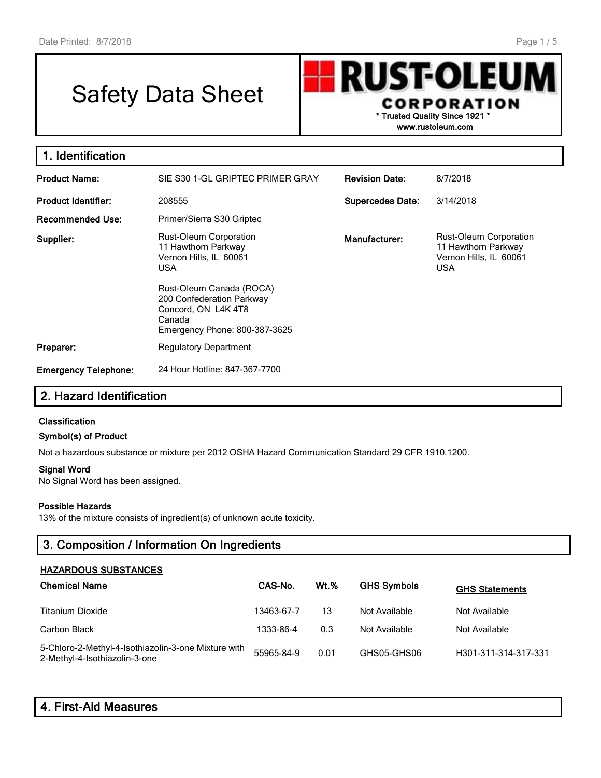# Safety Data Sheet

RUSTOLEU CORPORATION **\* Trusted Quality Since 1921 \* www.rustoleum.com**

**1. Identification Product Name:** SIE S30 1-GL GRIPTEC PRIMER GRAY **Revision Date:** 8/7/2018 **Product Identifier:** 208555 **Supercedes Date:** 3/14/2018 **Recommended Use:** Primer/Sierra S30 Griptec **Supplier:** Rust-Oleum Corporation 11 Hawthorn Parkway Vernon Hills, IL 60061 USA Rust-Oleum Canada (ROCA) 200 Confederation Parkway Concord, ON L4K 4T8 Canada Emergency Phone: 800-387-3625 **Manufacturer:** Rust-Oleum Corporation 11 Hawthorn Parkway Vernon Hills, IL 60061 USA **Preparer:** Regulatory Department **Emergency Telephone:** 24 Hour Hotline: 847-367-7700

# **2. Hazard Identification**

#### **Classification**

#### **Symbol(s) of Product**

Not a hazardous substance or mixture per 2012 OSHA Hazard Communication Standard 29 CFR 1910.1200.

#### **Signal Word**

No Signal Word has been assigned.

#### **Possible Hazards**

13% of the mixture consists of ingredient(s) of unknown acute toxicity.

# **3. Composition / Information On Ingredients**

| <b>HAZARDOUS SUBSTANCES</b>                                                          |            |      |                    |                       |
|--------------------------------------------------------------------------------------|------------|------|--------------------|-----------------------|
| <b>Chemical Name</b>                                                                 | CAS-No.    | Wt.% | <b>GHS Symbols</b> | <b>GHS Statements</b> |
| <b>Titanium Dioxide</b>                                                              | 13463-67-7 | 13   | Not Available      | Not Available         |
| Carbon Black                                                                         | 1333-86-4  | 0.3  | Not Available      | Not Available         |
| 5-Chloro-2-Methyl-4-Isothiazolin-3-one Mixture with<br>2-Methyl-4-Isothiazolin-3-one | 55965-84-9 | 0.01 | GHS05-GHS06        | H301-311-314-317-331  |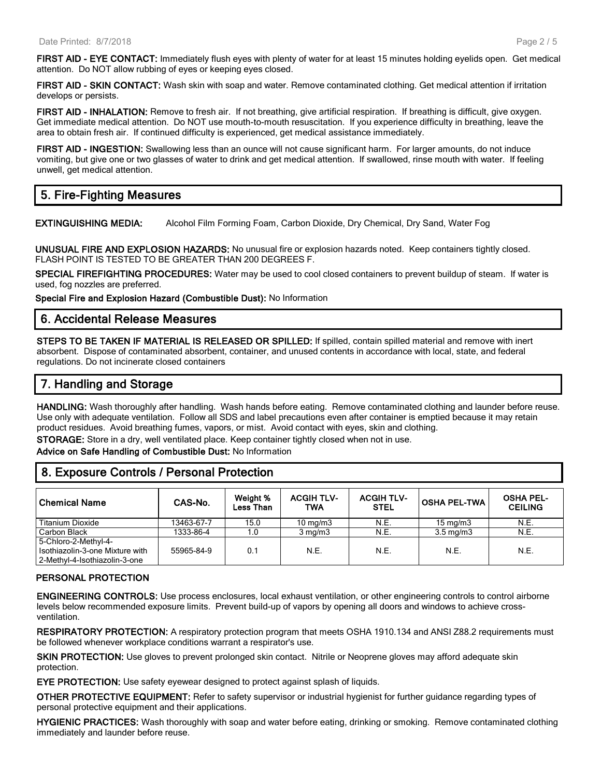**FIRST AID - EYE CONTACT:** Immediately flush eyes with plenty of water for at least 15 minutes holding eyelids open. Get medical attention. Do NOT allow rubbing of eyes or keeping eyes closed.

**FIRST AID - SKIN CONTACT:** Wash skin with soap and water. Remove contaminated clothing. Get medical attention if irritation develops or persists.

**FIRST AID - INHALATION:** Remove to fresh air. If not breathing, give artificial respiration. If breathing is difficult, give oxygen. Get immediate medical attention. Do NOT use mouth-to-mouth resuscitation. If you experience difficulty in breathing, leave the area to obtain fresh air. If continued difficulty is experienced, get medical assistance immediately.

**FIRST AID - INGESTION:** Swallowing less than an ounce will not cause significant harm. For larger amounts, do not induce vomiting, but give one or two glasses of water to drink and get medical attention. If swallowed, rinse mouth with water. If feeling unwell, get medical attention.

# **5. Fire-Fighting Measures**

**EXTINGUISHING MEDIA:** Alcohol Film Forming Foam, Carbon Dioxide, Dry Chemical, Dry Sand, Water Fog

**UNUSUAL FIRE AND EXPLOSION HAZARDS:** No unusual fire or explosion hazards noted. Keep containers tightly closed. FLASH POINT IS TESTED TO BE GREATER THAN 200 DEGREES F.

**SPECIAL FIREFIGHTING PROCEDURES:** Water may be used to cool closed containers to prevent buildup of steam. If water is used, fog nozzles are preferred.

**Special Fire and Explosion Hazard (Combustible Dust):** No Information

#### **6. Accidental Release Measures**

**STEPS TO BE TAKEN IF MATERIAL IS RELEASED OR SPILLED:** If spilled, contain spilled material and remove with inert absorbent. Dispose of contaminated absorbent, container, and unused contents in accordance with local, state, and federal regulations. Do not incinerate closed containers

# **7. Handling and Storage**

**HANDLING:** Wash thoroughly after handling. Wash hands before eating. Remove contaminated clothing and launder before reuse. Use only with adequate ventilation. Follow all SDS and label precautions even after container is emptied because it may retain product residues. Avoid breathing fumes, vapors, or mist. Avoid contact with eyes, skin and clothing.

**STORAGE:** Store in a dry, well ventilated place. Keep container tightly closed when not in use.

**Advice on Safe Handling of Combustible Dust:** No Information

## **8. Exposure Controls / Personal Protection**

| <b>Chemical Name</b>                                                                     | CAS-No.    | Weight %<br>Less Than | <b>ACGIH TLV-</b><br>TWA | <b>ACGIH TLV-</b><br><b>STEL</b> | <b>OSHA PEL-TWA</b> | <b>OSHA PEL-</b><br><b>CEILING</b> |
|------------------------------------------------------------------------------------------|------------|-----------------------|--------------------------|----------------------------------|---------------------|------------------------------------|
| <b>Titanium Dioxide</b>                                                                  | 13463-67-7 | 15.0                  | 10 $mq/m3$               | N.E.                             | $15 \text{ mg/m}$   | N.E.                               |
| Carbon Black                                                                             | 1333-86-4  | 1.0                   | $3 \text{ mg/m}$         | N.E.                             | $3.5 \text{ mg/m}$  | N.E.                               |
| 5-Chloro-2-Methyl-4-<br>Isothiazolin-3-one Mixture with<br>2-Methyl-4-Isothiazolin-3-one | 55965-84-9 | 0.1                   | N.E.                     | N.E.                             | N.E.                | N.E.                               |

#### **PERSONAL PROTECTION**

**ENGINEERING CONTROLS:** Use process enclosures, local exhaust ventilation, or other engineering controls to control airborne levels below recommended exposure limits. Prevent build-up of vapors by opening all doors and windows to achieve crossventilation.

**RESPIRATORY PROTECTION:** A respiratory protection program that meets OSHA 1910.134 and ANSI Z88.2 requirements must be followed whenever workplace conditions warrant a respirator's use.

**SKIN PROTECTION:** Use gloves to prevent prolonged skin contact. Nitrile or Neoprene gloves may afford adequate skin protection.

**EYE PROTECTION:** Use safety eyewear designed to protect against splash of liquids.

**OTHER PROTECTIVE EQUIPMENT:** Refer to safety supervisor or industrial hygienist for further guidance regarding types of personal protective equipment and their applications.

**HYGIENIC PRACTICES:** Wash thoroughly with soap and water before eating, drinking or smoking. Remove contaminated clothing immediately and launder before reuse.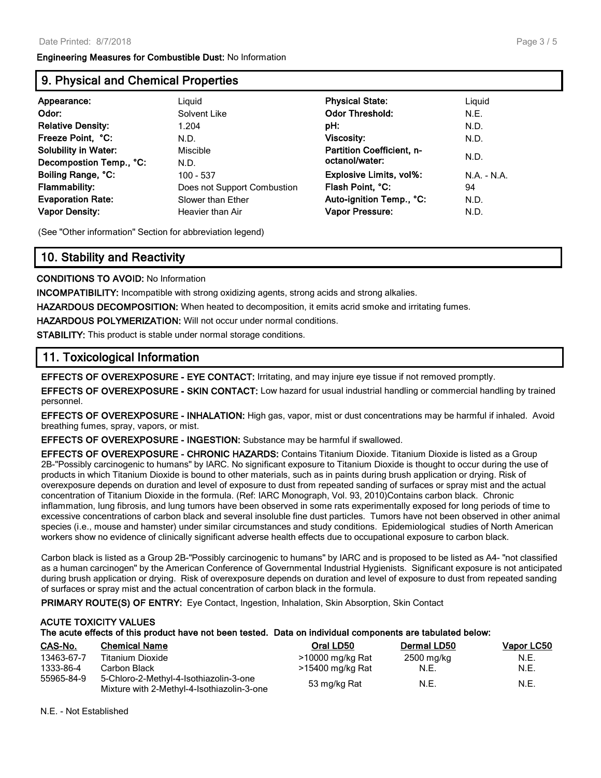#### **Engineering Measures for Combustible Dust:** No Information

# **9. Physical and Chemical Properties**

| Appearance:                 | Liguid                      | <b>Physical State:</b>           | Liquid        |
|-----------------------------|-----------------------------|----------------------------------|---------------|
| Odor:                       | Solvent Like                | <b>Odor Threshold:</b>           | N.E.          |
| <b>Relative Density:</b>    | 1.204                       | pH:                              | N.D.          |
| Freeze Point, °C:           | N.D.                        | <b>Viscosity:</b>                | N.D.          |
| <b>Solubility in Water:</b> | Miscible                    | <b>Partition Coefficient, n-</b> |               |
| Decompostion Temp., °C:     | N.D.                        | octanol/water:                   | N.D.          |
| Boiling Range, °C:          | 100 - 537                   | <b>Explosive Limits, vol%:</b>   | $N.A. - N.A.$ |
| <b>Flammability:</b>        | Does not Support Combustion | Flash Point, °C:                 | 94            |
| <b>Evaporation Rate:</b>    | Slower than Ether           | Auto-ignition Temp., °C:         | N.D.          |
| <b>Vapor Density:</b>       | Heavier than Air            | <b>Vapor Pressure:</b>           | N.D.          |

(See "Other information" Section for abbreviation legend)

## **10. Stability and Reactivity**

**CONDITIONS TO AVOID:** No Information

**INCOMPATIBILITY:** Incompatible with strong oxidizing agents, strong acids and strong alkalies.

**HAZARDOUS DECOMPOSITION:** When heated to decomposition, it emits acrid smoke and irritating fumes.

**HAZARDOUS POLYMERIZATION:** Will not occur under normal conditions.

**STABILITY:** This product is stable under normal storage conditions.

## **11. Toxicological Information**

**EFFECTS OF OVEREXPOSURE - EYE CONTACT:** Irritating, and may injure eye tissue if not removed promptly.

**EFFECTS OF OVEREXPOSURE - SKIN CONTACT:** Low hazard for usual industrial handling or commercial handling by trained personnel.

**EFFECTS OF OVEREXPOSURE - INHALATION:** High gas, vapor, mist or dust concentrations may be harmful if inhaled. Avoid breathing fumes, spray, vapors, or mist.

**EFFECTS OF OVEREXPOSURE - INGESTION:** Substance may be harmful if swallowed.

**EFFECTS OF OVEREXPOSURE - CHRONIC HAZARDS:** Contains Titanium Dioxide. Titanium Dioxide is listed as a Group 2B-"Possibly carcinogenic to humans" by IARC. No significant exposure to Titanium Dioxide is thought to occur during the use of products in which Titanium Dioxide is bound to other materials, such as in paints during brush application or drying. Risk of overexposure depends on duration and level of exposure to dust from repeated sanding of surfaces or spray mist and the actual concentration of Titanium Dioxide in the formula. (Ref: IARC Monograph, Vol. 93, 2010)Contains carbon black. Chronic inflammation, lung fibrosis, and lung tumors have been observed in some rats experimentally exposed for long periods of time to excessive concentrations of carbon black and several insoluble fine dust particles. Tumors have not been observed in other animal species (i.e., mouse and hamster) under similar circumstances and study conditions. Epidemiological studies of North American workers show no evidence of clinically significant adverse health effects due to occupational exposure to carbon black.

Carbon black is listed as a Group 2B-"Possibly carcinogenic to humans" by IARC and is proposed to be listed as A4- "not classified as a human carcinogen" by the American Conference of Governmental Industrial Hygienists. Significant exposure is not anticipated during brush application or drying. Risk of overexposure depends on duration and level of exposure to dust from repeated sanding of surfaces or spray mist and the actual concentration of carbon black in the formula.

PRIMARY ROUTE(S) OF ENTRY: Eye Contact, Ingestion, Inhalation, Skin Absorption, Skin Contact

#### **ACUTE TOXICITY VALUES**

| CAS-No.    | <b>Chemical Name</b>                                                                 | Oral LD50        | <b>Dermal LD50</b> | Vapor LC50 |
|------------|--------------------------------------------------------------------------------------|------------------|--------------------|------------|
| 13463-67-7 | Titanium Dioxide                                                                     | >10000 mg/kg Rat | 2500 mg/kg         | N.E.       |
| 1333-86-4  | Carbon Black                                                                         | >15400 mg/kg Rat | N.E.               | N.E.       |
| 55965-84-9 | 5-Chloro-2-Methyl-4-Isothiazolin-3-one<br>Mixture with 2-Methyl-4-Isothiazolin-3-one | 53 mg/kg Rat     | N.E.               | N.E.       |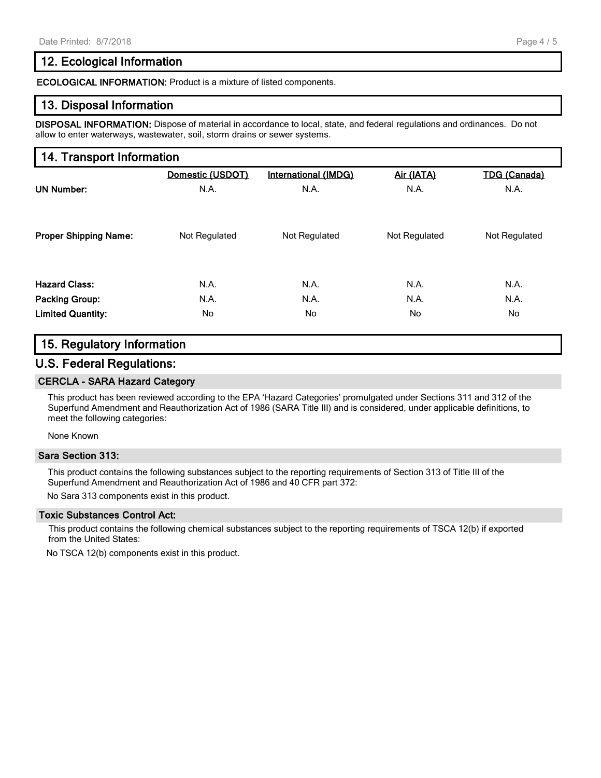# **12. Ecological Information**

**ECOLOGICAL INFORMATION:** Product is a mixture of listed components.

# **13. Disposal Information**

**DISPOSAL INFORMATION:** Dispose of material in accordance to local, state, and federal regulations and ordinances. Do not allow to enter waterways, wastewater, soil, storm drains or sewer systems.

# **14. Transport Information**

|                              | Domestic (USDOT) | <b>International (IMDG)</b> | Air (IATA)    | <b>TDG (Canada)</b> |
|------------------------------|------------------|-----------------------------|---------------|---------------------|
| <b>UN Number:</b>            | N.A.             | N.A.                        | N.A.          | N.A.                |
|                              |                  |                             |               |                     |
|                              |                  |                             |               |                     |
| <b>Proper Shipping Name:</b> | Not Regulated    | Not Regulated               | Not Regulated | Not Regulated       |
|                              |                  |                             |               |                     |
| <b>Hazard Class:</b>         | N.A.             | N.A.                        | N.A.          | N.A.                |
| <b>Packing Group:</b>        | N.A.             | N.A.                        | N.A.          | N.A.                |
| <b>Limited Quantity:</b>     | No               | No.                         | No.           | No                  |
|                              |                  |                             |               |                     |

# **15. Regulatory Information**

## **U.S. Federal Regulations:**

#### **CERCLA - SARA Hazard Category**

This product has been reviewed according to the EPA 'Hazard Categories' promulgated under Sections 311 and 312 of the Superfund Amendment and Reauthorization Act of 1986 (SARA Title III) and is considered, under applicable definitions, to meet the following categories:

None Known

#### **Sara Section 313:**

This product contains the following substances subject to the reporting requirements of Section 313 of Title III of the Superfund Amendment and Reauthorization Act of 1986 and 40 CFR part 372:

No Sara 313 components exist in this product.

#### **Toxic Substances Control Act:**

This product contains the following chemical substances subject to the reporting requirements of TSCA 12(b) if exported from the United States:

No TSCA 12(b) components exist in this product.